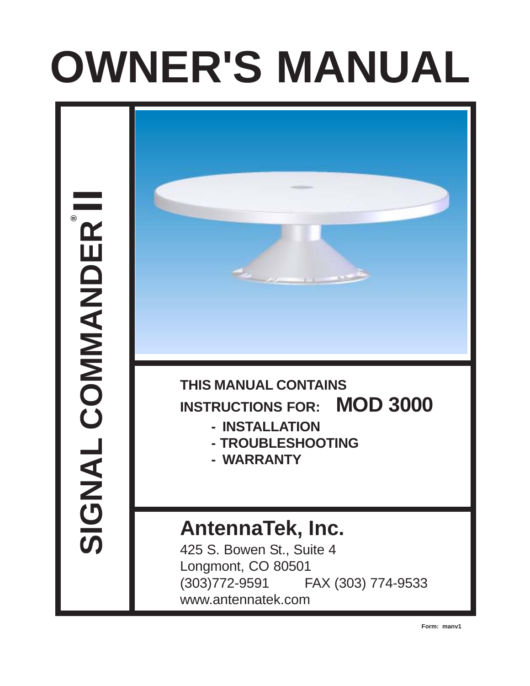# **OWNER'S MANUAL**

SIGNAL COMMANDER<sup>®</sup> SIGNAL COMMANDER



## **THIS MANUAL CONTAINS INSTRUCTIONS FOR: MOD 3000**

- **INSTALLATION**
- **TROUBLESHOOTING**
- **WARRANTY**

# **AntennaTek, Inc.**

425 S. Bowen St., Suite 4 Longmont, CO 80501 (303)772-9591 FAX (303) 774-9533 www.antennatek.com

**Form: manv1**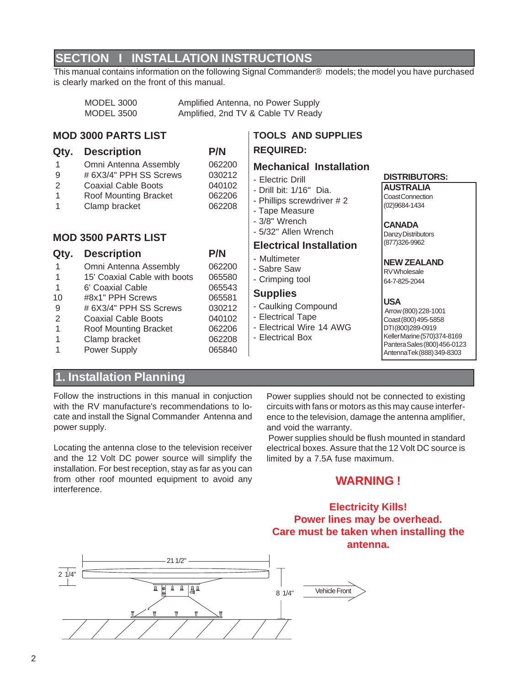## **SECTION I INSTALLATION INSTRUCTIONS**

This manual contains information on the following Signal Commander® models; the model you have purchased is clearly marked on the front of this manual.

| <b>MODEL 3000</b> | Amplified Antenna, no Power Supply |
|-------------------|------------------------------------|
| MODEL 3500        | Amplified, 2nd TV & Cable TV Ready |

#### **MOD 3000 PARTS LIST**

#### **Qty. Description P/N**

#### 1 Omni Antenna Assembly 062200

- 9 # 6X3/4" PPH SS Screws 030212
- 
- 
- 

- 1 Omni Antenna Assembly 062200
- 
- 1 6' Coaxial Cable 665543
- 10 #8x1" PPH Screws 065581
- 9 # 6X3/4" PPH SS Screws 030212
- 2 Coaxial Cable Boots 040102
- 1 Roof Mounting Bracket 062206
- 1 Clamp bracket 062208
- 1 Power Supply 065840

- 
- 
- 
- 
- 
- 
- 
- 

**REQUIRED:**

#### **Supplies**

- Caulking Compound
- Electrical Tape
- Electrical Wire 14 AWG

**TOOLS AND SUPPLIES**

**Mechanical Installation**

- Electrical Box
- 
- 
- 
- 

#### **DISTRIBUTORS: AUSTRALIA**

Coast Connection (02)9684-1434

#### **CANADA**

Danzy Distributors (877)326-9962

#### **NEW ZEALAND**

**RV** Wholesale 64-7-825-2044

#### **USA**

 Arrow (800) 228-1001 Coast (800) 495-5858 DTI (800)289-0919 Keller Marine (570)374-8169 Pantera Sales (800) 456-0123 AntennaTek (888) 349-8303

## **1. Installation Planning**

Follow the instructions in this manual in conjuction with the RV manufacture's recommendations to locate and install the Signal Commander Antenna and power supply.

Locating the antenna close to the television receiver and the 12 Volt DC power source will simplify the installation. For best reception, stay as far as you can from other roof mounted equipment to avoid any interference.

Power supplies should not be connected to existing circuits with fans or motors as this may cause interference to the television, damage the antenna amplifier, and void the warranty.

 Power supplies should be flush mounted in standard electrical boxes. Assure that the 12 Volt DC source is limited by a 7.5A fuse maximum.

### **WARNING !**

#### **Electricity Kills! Power lines may be overhead. Care must be taken when installing the antenna.**



- Electric Drill - Drill bit: 1/16" Dia. - Phillips screwdriver # 2 - Tape Measure - 3/8" Wrench - 5/32" Allen Wrench **Electrical Installation** - Multimeter - Sabre Saw - Crimping tool 2 Coaxial Cable Boots 040102 1 Roof Mounting Bracket 062206 1 Clamp bracket 062208 **MOD 3500 PARTS LIST Qty. Description P/N** 1 15' Coaxial Cable with boots 065580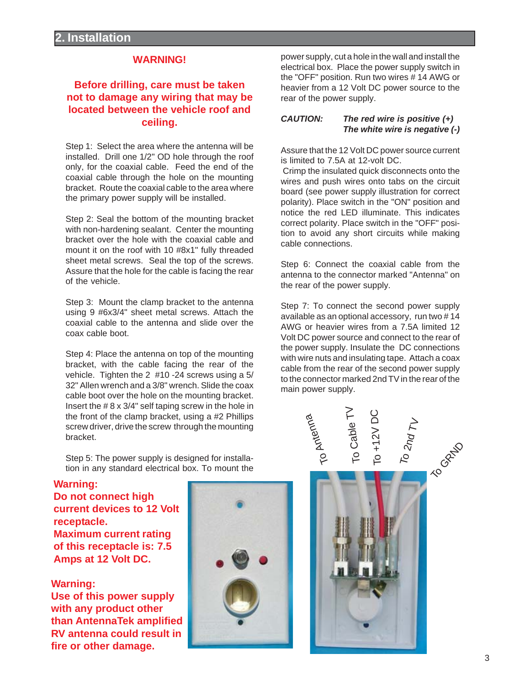#### **WARNING!**

#### **Before drilling, care must be taken not to damage any wiring that may be located between the vehicle roof and ceiling.**

Step 1: Select the area where the antenna will be installed. Drill one 1/2" OD hole through the roof only, for the coaxial cable. Feed the end of the coaxial cable through the hole on the mounting bracket. Route the coaxial cable to the area where the primary power supply will be installed.

Step 2: Seal the bottom of the mounting bracket with non-hardening sealant. Center the mounting bracket over the hole with the coaxial cable and mount it on the roof with 10 #8x1" fully threaded sheet metal screws. Seal the top of the screws. Assure that the hole for the cable is facing the rear of the vehicle.

Step 3: Mount the clamp bracket to the antenna using 9 #6x3/4" sheet metal screws. Attach the coaxial cable to the antenna and slide over the coax cable boot.

Step 4: Place the antenna on top of the mounting bracket, with the cable facing the rear of the vehicle. Tighten the 2 #10 -24 screws using a 5/ 32" Allen wrench and a 3/8" wrench. Slide the coax cable boot over the hole on the mounting bracket. Insert the # 8 x 3/4" self taping screw in the hole in the front of the clamp bracket, using a #2 Phillips screw driver, drive the screw through the mounting bracket.

Step 5: The power supply is designed for installation in any standard electrical box. To mount the

#### **Warning:**

**Do not connect high current devices to 12 Volt receptacle. Maximum current rating of this receptacle is: 7.5 Amps at 12 Volt DC.**

**Warning: Use of this power supply with any product other than AntennaTek amplified RV antenna could result in fire or other damage.**



power supply, cut a hole in the wall and install the electrical box. Place the power supply switch in the "OFF" position. Run two wires # 14 AWG or heavier from a 12 Volt DC power source to the rear of the power supply.

#### **CAUTION: The red wire is positive (+) The white wire is negative (-)**

Assure that the 12 Volt DC power source current is limited to 7.5A at 12-volt DC.

 Crimp the insulated quick disconnects onto the wires and push wires onto tabs on the circuit board (see power supply illustration for correct polarity). Place switch in the "ON" position and notice the red LED illuminate. This indicates correct polarity. Place switch in the "OFF" position to avoid any short circuits while making cable connections.

Step 6: Connect the coaxial cable from the antenna to the connector marked "Antenna" on the rear of the power supply.

Step 7: To connect the second power supply available as an optional accessory, run two # 14 AWG or heavier wires from a 7.5A limited 12 Volt DC power source and connect to the rear of the power supply. Insulate the DC connections with wire nuts and insulating tape.Attach a coax cable from the rear of the second power supply to the connector marked 2nd TV in the rear of the main power supply.